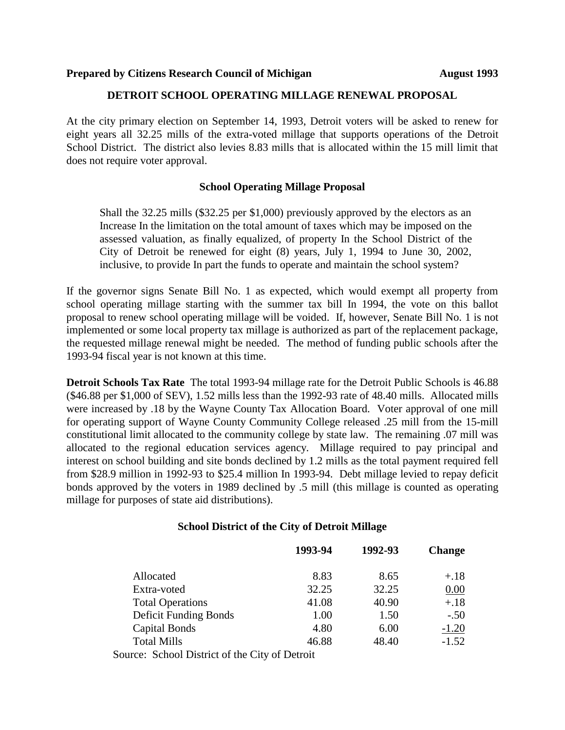## **Prepared by Citizens Research Council of Michigan Michigan August 1993**

## **DETROIT SCHOOL OPERATING MILLAGE RENEWAL PROPOSAL**

At the city primary election on September 14, 1993, Detroit voters will be asked to renew for eight years all 32.25 mills of the extra-voted millage that supports operations of the Detroit School District. The district also levies 8.83 mills that is allocated within the 15 mill limit that does not require voter approval.

## **School Operating Millage Proposal**

Shall the 32.25 mills (\$32.25 per \$1,000) previously approved by the electors as an Increase In the limitation on the total amount of taxes which may be imposed on the assessed valuation, as finally equalized, of property In the School District of the City of Detroit be renewed for eight (8) years, July 1, 1994 to June 30, 2002, inclusive, to provide In part the funds to operate and maintain the school system?

If the governor signs Senate Bill No. 1 as expected, which would exempt all property from school operating millage starting with the summer tax bill In 1994, the vote on this ballot proposal to renew school operating millage will be voided. If, however, Senate Bill No. 1 is not implemented or some local property tax millage is authorized as part of the replacement package, the requested millage renewal might be needed. The method of funding public schools after the 1993-94 fiscal year is not known at this time.

**Detroit Schools Tax Rate** The total 1993-94 millage rate for the Detroit Public Schools is 46.88 (\$46.88 per \$1,000 of SEV), 1.52 mills less than the 1992-93 rate of 48.40 mills. Allocated mills were increased by .18 by the Wayne County Tax Allocation Board. Voter approval of one mill for operating support of Wayne County Community College released .25 mill from the 15-mill constitutional limit allocated to the community college by state law. The remaining .07 mill was allocated to the regional education services agency. Millage required to pay principal and interest on school building and site bonds declined by 1.2 mills as the total payment required fell from \$28.9 million in 1992-93 to \$25.4 million In 1993-94. Debt millage levied to repay deficit bonds approved by the voters in 1989 declined by .5 mill (this millage is counted as operating millage for purposes of state aid distributions).

#### **School District of the City of Detroit Millage**

|                                                 | 1993-94 | 1992-93 | <b>Change</b> |
|-------------------------------------------------|---------|---------|---------------|
| Allocated                                       | 8.83    | 8.65    | $+.18$        |
| Extra-voted                                     | 32.25   | 32.25   | 0.00          |
| <b>Total Operations</b>                         | 41.08   | 40.90   | $+.18$        |
| <b>Deficit Funding Bonds</b>                    | 1.00    | 1.50    | $-.50$        |
| Capital Bonds                                   | 4.80    | 6.00    | $-1.20$       |
| <b>Total Mills</b>                              | 46.88   | 48.40   | $-1.52$       |
| Corneoi Colegel District of the City of Detroit |         |         |               |

Source: School District of the City of Detroit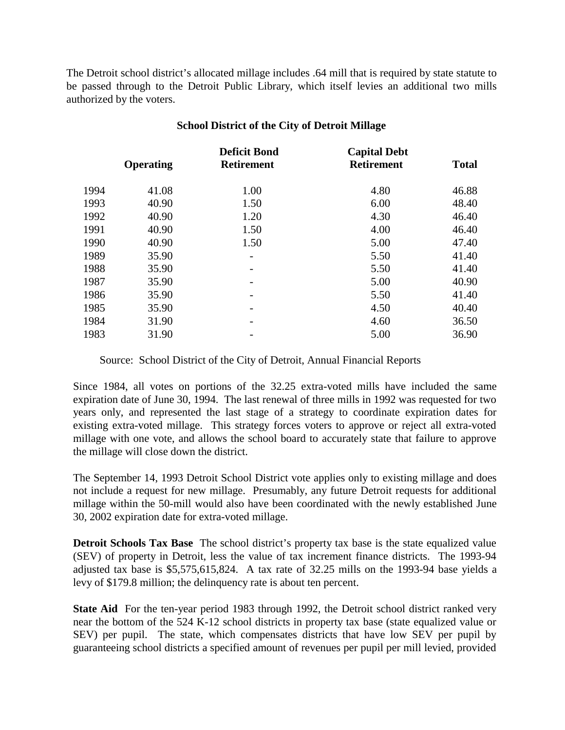The Detroit school district's allocated millage includes .64 mill that is required by state statute to be passed through to the Detroit Public Library, which itself levies an additional two mills authorized by the voters.

|       | <b>Deficit Bond</b> | <b>Capital Debt</b> | <b>Total</b>      |
|-------|---------------------|---------------------|-------------------|
|       |                     |                     |                   |
| 41.08 | 1.00                | 4.80                | 46.88             |
| 40.90 | 1.50                | 6.00                | 48.40             |
| 40.90 | 1.20                | 4.30                | 46.40             |
| 40.90 | 1.50                | 4.00                | 46.40             |
| 40.90 | 1.50                | 5.00                | 47.40             |
| 35.90 |                     | 5.50                | 41.40             |
| 35.90 |                     | 5.50                | 41.40             |
| 35.90 |                     | 5.00                | 40.90             |
| 35.90 |                     | 5.50                | 41.40             |
| 35.90 |                     | 4.50                | 40.40             |
| 31.90 |                     | 4.60                | 36.50             |
| 31.90 |                     | 5.00                | 36.90             |
|       | Operating           | <b>Retirement</b>   | <b>Retirement</b> |

## **School District of the City of Detroit Millage**

Source: School District of the City of Detroit, Annual Financial Reports

Since 1984, all votes on portions of the 32.25 extra-voted mills have included the same expiration date of June 30, 1994. The last renewal of three mills in 1992 was requested for two years only, and represented the last stage of a strategy to coordinate expiration dates for existing extra-voted millage. This strategy forces voters to approve or reject all extra-voted millage with one vote, and allows the school board to accurately state that failure to approve the millage will close down the district.

The September 14, 1993 Detroit School District vote applies only to existing millage and does not include a request for new millage. Presumably, any future Detroit requests for additional millage within the 50-mill would also have been coordinated with the newly established June 30, 2002 expiration date for extra-voted millage.

**Detroit Schools Tax Base** The school district's property tax base is the state equalized value (SEV) of property in Detroit, less the value of tax increment finance districts. The 1993-94 adjusted tax base is \$5,575,615,824. A tax rate of 32.25 mills on the 1993-94 base yields a levy of \$179.8 million; the delinquency rate is about ten percent.

**State Aid** For the ten-year period 1983 through 1992, the Detroit school district ranked very near the bottom of the 524 K-12 school districts in property tax base (state equalized value or SEV) per pupil. The state, which compensates districts that have low SEV per pupil by guaranteeing school districts a specified amount of revenues per pupil per mill levied, provided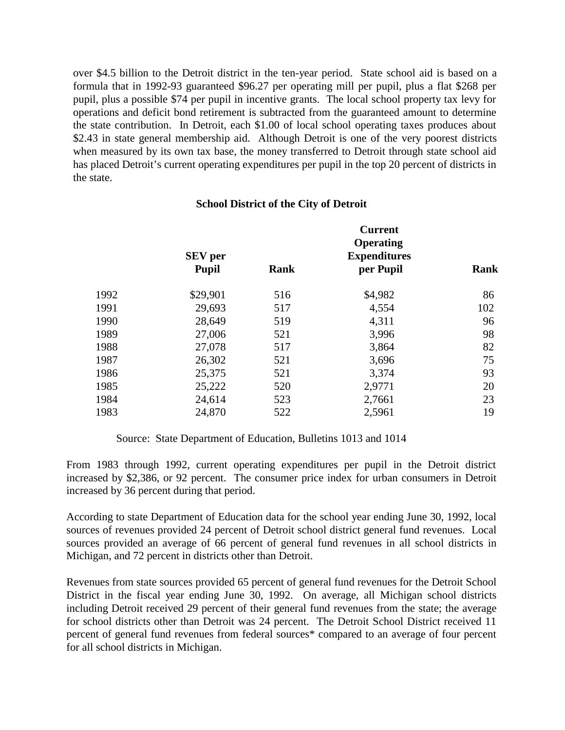over \$4.5 billion to the Detroit district in the ten-year period. State school aid is based on a formula that in 1992-93 guaranteed \$96.27 per operating mill per pupil, plus a flat \$268 per pupil, plus a possible \$74 per pupil in incentive grants. The local school property tax levy for operations and deficit bond retirement is subtracted from the guaranteed amount to determine the state contribution. In Detroit, each \$1.00 of local school operating taxes produces about \$2.43 in state general membership aid. Although Detroit is one of the very poorest districts when measured by its own tax base, the money transferred to Detroit through state school aid has placed Detroit's current operating expenditures per pupil in the top 20 percent of districts in the state.

## **School District of the City of Detroit**

|      | <b>SEV</b> per |      | <b>Current</b><br>Operating<br><b>Expenditures</b> |      |
|------|----------------|------|----------------------------------------------------|------|
|      | <b>Pupil</b>   | Rank | per Pupil                                          | Rank |
| 1992 | \$29,901       | 516  | \$4,982                                            | 86   |
| 1991 | 29,693         | 517  | 4,554                                              | 102  |
| 1990 | 28,649         | 519  | 4,311                                              | 96   |
| 1989 | 27,006         | 521  | 3,996                                              | 98   |
| 1988 | 27,078         | 517  | 3,864                                              | 82   |
| 1987 | 26,302         | 521  | 3,696                                              | 75   |
| 1986 | 25,375         | 521  | 3,374                                              | 93   |
| 1985 | 25,222         | 520  | 2,9771                                             | 20   |
| 1984 | 24,614         | 523  | 2,7661                                             | 23   |
| 1983 | 24,870         | 522  | 2,5961                                             | 19   |
|      |                |      |                                                    |      |

## Source: State Department of Education, Bulletins 1013 and 1014

From 1983 through 1992, current operating expenditures per pupil in the Detroit district increased by \$2,386, or 92 percent. The consumer price index for urban consumers in Detroit increased by 36 percent during that period.

According to state Department of Education data for the school year ending June 30, 1992, local sources of revenues provided 24 percent of Detroit school district general fund revenues. Local sources provided an average of 66 percent of general fund revenues in all school districts in Michigan, and 72 percent in districts other than Detroit.

Revenues from state sources provided 65 percent of general fund revenues for the Detroit School District in the fiscal year ending June 30, 1992. On average, all Michigan school districts including Detroit received 29 percent of their general fund revenues from the state; the average for school districts other than Detroit was 24 percent. The Detroit School District received 11 percent of general fund revenues from federal sources\* compared to an average of four percent for all school districts in Michigan.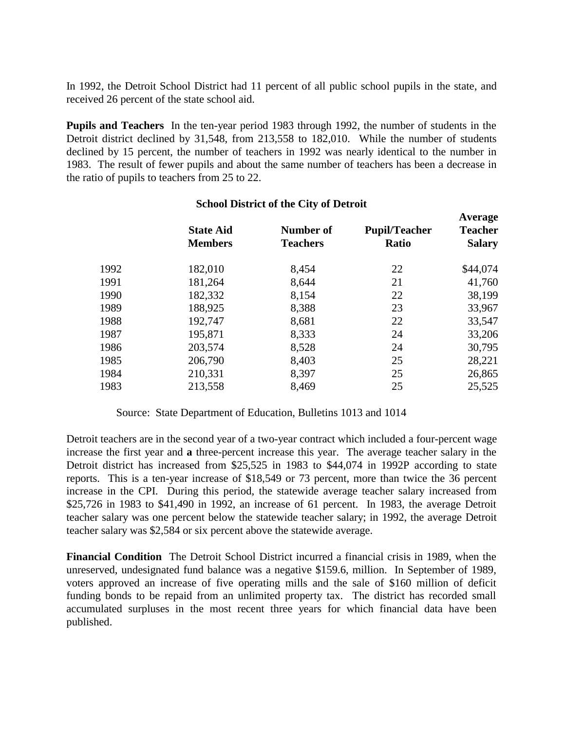In 1992, the Detroit School District had 11 percent of all public school pupils in the state, and received 26 percent of the state school aid.

**Pupils and Teachers** In the ten-year period 1983 through 1992, the number of students in the Detroit district declined by 31,548, from 213,558 to 182,010. While the number of students declined by 15 percent, the number of teachers in 1992 was nearly identical to the number in 1983. The result of fewer pupils and about the same number of teachers has been a decrease in the ratio of pupils to teachers from 25 to 22.

|      | <b>State Aid</b><br><b>Members</b> | <b>Number of</b><br><b>Teachers</b> | <b>Pupil/Teacher</b><br><b>Ratio</b> | Average<br><b>Teacher</b><br><b>Salary</b> |
|------|------------------------------------|-------------------------------------|--------------------------------------|--------------------------------------------|
| 1992 | 182,010                            | 8,454                               | 22                                   | \$44,074                                   |
| 1991 | 181,264                            | 8,644                               | 21                                   | 41,760                                     |
| 1990 | 182,332                            | 8,154                               | 22                                   | 38,199                                     |
| 1989 | 188,925                            | 8,388                               | 23                                   | 33,967                                     |
| 1988 | 192,747                            | 8,681                               | 22                                   | 33,547                                     |
| 1987 | 195,871                            | 8,333                               | 24                                   | 33,206                                     |
| 1986 | 203,574                            | 8,528                               | 24                                   | 30,795                                     |
| 1985 | 206,790                            | 8,403                               | 25                                   | 28,221                                     |
| 1984 | 210,331                            | 8,397                               | 25                                   | 26,865                                     |
| 1983 | 213,558                            | 8,469                               | 25                                   | 25,525                                     |
|      |                                    |                                     |                                      |                                            |

## **School District of the City of Detroit**

Source: State Department of Education, Bulletins 1013 and 1014

Detroit teachers are in the second year of a two-year contract which included a four-percent wage increase the first year and **a** three-percent increase this year. The average teacher salary in the Detroit district has increased from \$25,525 in 1983 to \$44,074 in 1992P according to state reports. This is a ten-year increase of \$18,549 or 73 percent, more than twice the 36 percent increase in the CPI. During this period, the statewide average teacher salary increased from \$25,726 in 1983 to \$41,490 in 1992, an increase of 61 percent. In 1983, the average Detroit teacher salary was one percent below the statewide teacher salary; in 1992, the average Detroit teacher salary was \$2,584 or six percent above the statewide average.

**Financial Condition** The Detroit School District incurred a financial crisis in 1989, when the unreserved, undesignated fund balance was a negative \$159.6, million. In September of 1989, voters approved an increase of five operating mills and the sale of \$160 million of deficit funding bonds to be repaid from an unlimited property tax. The district has recorded small accumulated surpluses in the most recent three years for which financial data have been published.